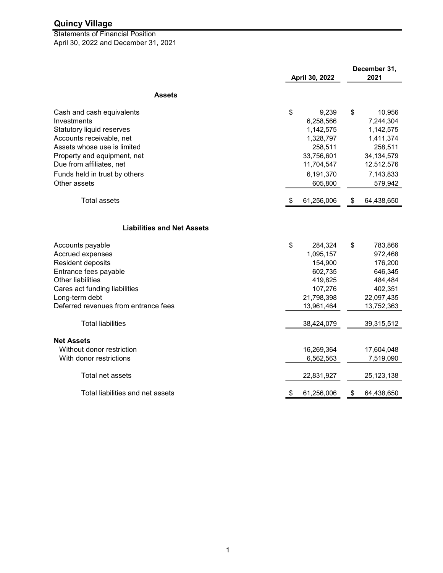April 30, 2022 and December 31, 2021 Statements of Financial Position

|                                                         | April 30, 2022 |            | December 31,<br>2021 |              |
|---------------------------------------------------------|----------------|------------|----------------------|--------------|
| <b>Assets</b>                                           |                |            |                      |              |
|                                                         |                |            |                      |              |
| Cash and cash equivalents                               | \$             | 9,239      | \$                   | 10,956       |
| Investments                                             |                | 6,258,566  |                      | 7,244,304    |
| <b>Statutory liquid reserves</b>                        |                | 1,142,575  |                      | 1,142,575    |
| Accounts receivable, net<br>Assets whose use is limited |                | 1,328,797  |                      | 1,411,374    |
|                                                         |                | 258,511    |                      | 258,511      |
| Property and equipment, net                             |                | 33,756,601 |                      | 34, 134, 579 |
| Due from affiliates, net                                |                | 11,704,547 |                      | 12,512,576   |
| Funds held in trust by others                           |                | 6,191,370  |                      | 7,143,833    |
| Other assets                                            |                | 605,800    |                      | 579,942      |
| <b>Total assets</b>                                     | -\$            | 61,256,006 | \$                   | 64,438,650   |
| <b>Liabilities and Net Assets</b>                       |                |            |                      |              |
| Accounts payable                                        | \$             | 284,324    | \$                   | 783,866      |
| Accrued expenses                                        |                | 1,095,157  |                      | 972,468      |
| Resident deposits                                       |                | 154,900    |                      | 176,200      |
| Entrance fees payable                                   |                | 602,735    |                      | 646,345      |
| Other liabilities                                       |                | 419,825    |                      | 484,484      |
| Cares act funding liabilities                           |                | 107,276    |                      | 402,351      |
| Long-term debt                                          |                | 21,798,398 |                      | 22,097,435   |
| Deferred revenues from entrance fees                    |                | 13,961,464 |                      | 13,752,363   |
| <b>Total liabilities</b>                                |                | 38,424,079 |                      | 39,315,512   |
| <b>Net Assets</b>                                       |                |            |                      |              |
| Without donor restriction                               |                | 16,269,364 |                      | 17,604,048   |
| With donor restrictions                                 |                | 6,562,563  |                      | 7,519,090    |
| Total net assets                                        |                | 22,831,927 |                      | 25,123,138   |
| Total liabilities and net assets                        | \$             | 61,256,006 | \$                   | 64,438,650   |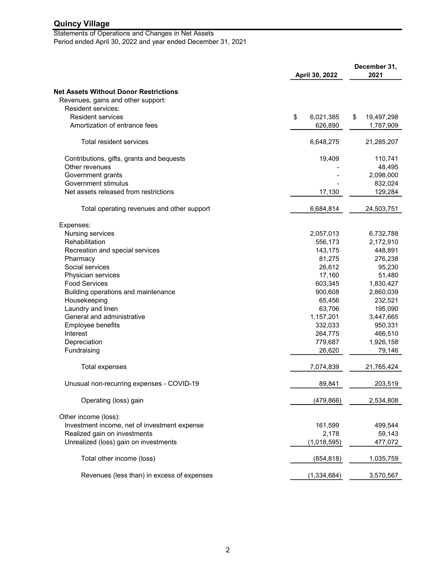#### Statements of Operations and Changes in Net Assets Period ended April 30, 2022 and year ended December 31, 2021

April 30, 2022 December 31, 2021 Net Assets Without Donor Restrictions Revenues, gains and other support: Resident services: Resident services **but a 19,497.298 6.021.385 6.021.385 6.021.385 6.021.385 6.021.385 6.021.385 6.021.385 6.021.385 6.021.385 6.021.385 6.021.385 6.021.385 6.021.385 6.021.385 6.021.385 6.02** Amortization of entrance fees 1,787,909 626,890 626,890 626,890 626,890 61,787,909 Total resident services 21,285,207 6,648,275 Contributions, gifts, grants and bequests 19,409 19,409 110,741 Other revenues 48,495 Government grants 2,098,000 and 2,098,000 control and 2,098,000 control and 2,098,000 control and 2,098,000 control and 2,098,000 control and 2,098,000 control and 2,098,000 control and 2,098,000 control and 2,098,000 cont Government stimulus 832,024 Net assets released from restrictions 129,284 17,130 129,284 Total operating revenues and other support 6,684,814 24,503,751 Expenses: Nursing services 6,732,788 2,057,013 6,732,788 2,057,013 6,732,788 2,057,013 2,057,013 2,057,013 2,057,013 2,0 Rehabilitation 2,172,910 2,172,910 556,173 Recreation and special services **After a service 348,891** 143,175 448,891 Pharmacy 276,238 81,275 Social services 95,230 26,612 Physician services 51,480 17,160 51,480 Food Services 1,830,427 603,345 Building operations and maintenance and the control of the 2,860,039 and 2,860,039 and 2,860,039 Housekeeping 232,521 65,456 Laundry and linen 195,090 63,706 63,706 63,706 63,706 63,706 63,706 63,706 63,706 63,706 63,706 63,706 63,706 65 General and administrative 3,447,665 1,157,201 3,447,665 Employee benefits 332,033 950,331 Interest 466,510 264,775 **Depreciation 1,926,158 779,687** 1,926,158 1,926,158 1,926,158 1,926,158 1,926,158 1,926,158 1,926,158 1,926,158 1,926,158 1,926,158 1,926 1,926 1,926 1,926 1,926 1,938 1,938 1,938 1,938 1,938 1,938 1,938 1,938 1,938 1,938 Fundraising 79,146 26,620 26,620 26,620 26,620 26,620 26,620 26,620 26,620 26,620 279,146 Total expenses 21,765,424 7,074,839 21,765,424 Unusual non-recurring expenses - COVID-19 203,519 203,519 89,841 203,519 Operating (loss) gain 2,534,808 (479,866) Other income (loss): Investment income, net of investment expense 499,544 161,599 499,544 Realized gain on investments **59,143 2,178** 59,143 Unrealized (loss) gain on investments (1,018,595) 477,072 Total other income (loss) 1,035,759 (854,818) 1,035,759 Revenues (less than) in excess of expenses 3,570,567 (1,334,684) 3,570,567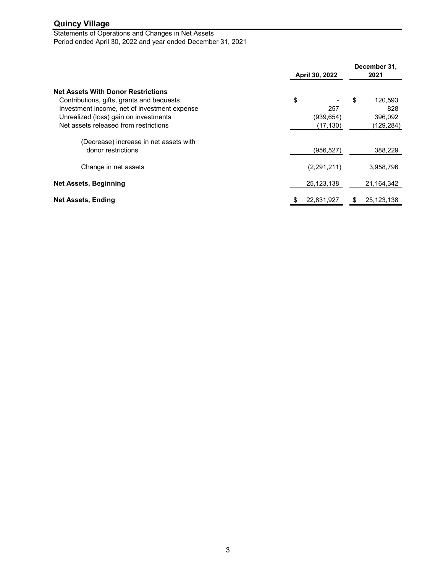Statements of Operations and Changes in Net Assets Period ended April 30, 2022 and year ended December 31, 2021

|                                                                                                                                                                                                                          | April 30, 2022                       | December 31,<br>2021                         |  |
|--------------------------------------------------------------------------------------------------------------------------------------------------------------------------------------------------------------------------|--------------------------------------|----------------------------------------------|--|
| <b>Net Assets With Donor Restrictions</b><br>Contributions, gifts, grants and bequests<br>Investment income, net of investment expense<br>Unrealized (loss) gain on investments<br>Net assets released from restrictions | \$<br>257<br>(939, 654)<br>(17, 130) | \$<br>120,593<br>828<br>396,092<br>(129,284) |  |
| (Decrease) increase in net assets with<br>donor restrictions                                                                                                                                                             | (956, 527)                           | 388,229                                      |  |
| Change in net assets                                                                                                                                                                                                     | (2,291,211)                          | 3,958,796                                    |  |
| <b>Net Assets, Beginning</b>                                                                                                                                                                                             | 25, 123, 138                         | 21,164,342                                   |  |
| <b>Net Assets, Ending</b>                                                                                                                                                                                                | 22,831,927                           | 25,123,138<br>\$                             |  |